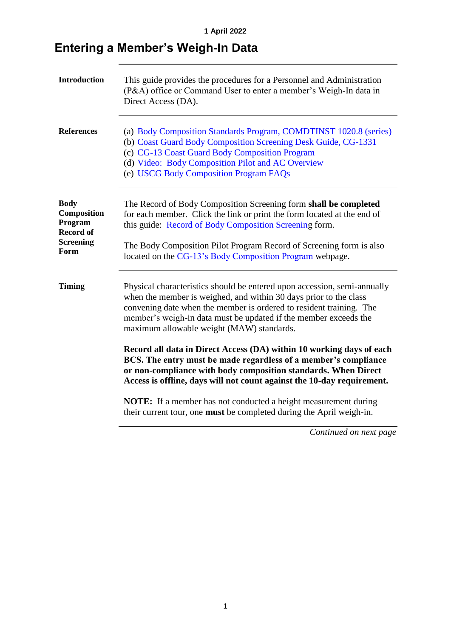## **Entering a Member's Weigh-In Data**

| <b>Introduction</b>                                                                   | This guide provides the procedures for a Personnel and Administration<br>(P&A) office or Command User to enter a member's Weigh-In data in<br>Direct Access (DA).                                                                                                                                                                        |
|---------------------------------------------------------------------------------------|------------------------------------------------------------------------------------------------------------------------------------------------------------------------------------------------------------------------------------------------------------------------------------------------------------------------------------------|
| <b>References</b>                                                                     | (a) Body Composition Standards Program, COMDTINST 1020.8 (series)<br>(b) Coast Guard Body Composition Screening Desk Guide, CG-1331<br>(c) CG-13 Coast Guard Body Composition Program<br>(d) Video: Body Composition Pilot and AC Overview<br>(e) USCG Body Composition Program FAQs                                                     |
| <b>Body</b><br>Composition<br>Program<br><b>Record of</b><br><b>Screening</b><br>Form | The Record of Body Composition Screening form shall be completed<br>for each member. Click the link or print the form located at the end of<br>this guide: Record of Body Composition Screening form.<br>The Body Composition Pilot Program Record of Screening form is also<br>located on the CG-13's Body Composition Program webpage. |
| <b>Timing</b>                                                                         | Physical characteristics should be entered upon accession, semi-annually<br>when the member is weighed, and within 30 days prior to the class<br>convening date when the member is ordered to resident training. The<br>member's weigh-in data must be updated if the member exceeds the<br>maximum allowable weight (MAW) standards.    |
|                                                                                       | Record all data in Direct Access (DA) within 10 working days of each<br>BCS. The entry must be made regardless of a member's compliance<br>or non-compliance with body composition standards. When Direct<br>Access is offline, days will not count against the 10-day requirement.                                                      |
|                                                                                       | <b>NOTE:</b> If a member has not conducted a height measurement during<br>their current tour, one must be completed during the April weigh-in.                                                                                                                                                                                           |
|                                                                                       |                                                                                                                                                                                                                                                                                                                                          |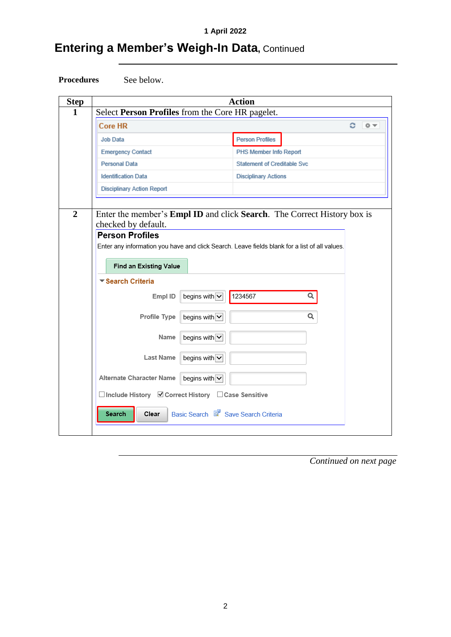## **Entering a Member's Weigh-In Data, Continued**



| <b>Step</b>    | <b>Action</b>                                                                                                 |
|----------------|---------------------------------------------------------------------------------------------------------------|
| 1              | Select Person Profiles from the Core HR pagelet.                                                              |
|                | <b>Core HR</b><br>e<br>券工                                                                                     |
|                | Job Data<br><b>Person Profiles</b>                                                                            |
|                | <b>Emergency Contact</b><br>PHS Member Info Report                                                            |
|                | Personal Data<br><b>Statement of Creditable Svc</b>                                                           |
|                | <b>Identification Data</b><br><b>Disciplinary Actions</b>                                                     |
|                | <b>Disciplinary Action Report</b>                                                                             |
|                |                                                                                                               |
| $\overline{2}$ | Enter the member's <b>Empl ID</b> and click <b>Search</b> . The Correct History box is<br>checked by default. |
|                | <b>Person Profiles</b>                                                                                        |
|                | Enter any information you have and click Search. Leave fields blank for a list of all values.                 |
|                |                                                                                                               |
|                | Find an Existing Value                                                                                        |
|                | ▼ Search Criteria                                                                                             |
|                | begins with $\overline{\smile}$<br>1234567<br>Q<br>Empl ID                                                    |
|                | Q<br>begins with<br>Profile Type                                                                              |
|                | begins with $\overline{\mathsf{v}}$<br>Name                                                                   |
|                | Last Name<br>begins with $\overline{\smile}$                                                                  |
|                | Alternate Character Name<br>begins with $\overline{\smile}$                                                   |
|                | □ Include History ■ Correct History □ Case Sensitive                                                          |
|                | Basic Search & Save Search Criteria<br>Clear<br>Search                                                        |
|                |                                                                                                               |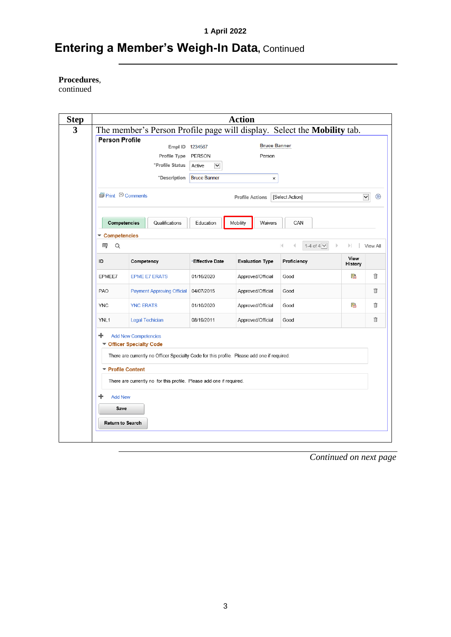## **Entering a Member's Weigh-In Data, Continued**

#### **Procedures**,

continued

| <b>Step</b> |                               |                                                              |                                   |                                                                      | <b>Action</b>                                                                               |                                                                         |                 |             |
|-------------|-------------------------------|--------------------------------------------------------------|-----------------------------------|----------------------------------------------------------------------|---------------------------------------------------------------------------------------------|-------------------------------------------------------------------------|-----------------|-------------|
| 3           |                               |                                                              |                                   |                                                                      |                                                                                             | The member's Person Profile page will display. Select the Mobility tab. |                 |             |
|             | <b>Person Profile</b>         |                                                              |                                   |                                                                      | <b>Bruce Banner</b>                                                                         |                                                                         |                 |             |
|             |                               |                                                              | Empl ID 1234567                   |                                                                      |                                                                                             |                                                                         |                 |             |
|             |                               |                                                              | Profile Type<br>*Profile Status   | PERSON                                                               | Person                                                                                      |                                                                         |                 |             |
|             |                               |                                                              |                                   | Active<br>$\blacktriangledown$                                       |                                                                                             |                                                                         |                 |             |
|             |                               |                                                              | *Description                      | <b>Bruce Banner</b>                                                  | ×                                                                                           |                                                                         |                 |             |
|             | <b></b> Print © Comments      |                                                              |                                   |                                                                      | <b>Profile Actions</b>                                                                      | [Select Action]                                                         | $\checkmark$    | $\circledR$ |
|             |                               | Competencies                                                 | Qualifications                    | Education                                                            | Mobility<br>Waivers                                                                         | CAN                                                                     |                 |             |
|             | <b>Competencies</b><br>霉<br>Q |                                                              |                                   |                                                                      |                                                                                             | 1-4 of $4\sqrt{ }$<br>K                                                 | $\mathbb{R}$    | View All    |
|             | ID                            | Competency                                                   |                                   | *Effective Date                                                      | <b>Evaluation Type</b>                                                                      | Proficiency                                                             | View<br>History |             |
|             | EPMEE7                        |                                                              | <b>EPME E7 ERATS</b>              | 01/16/2020                                                           | Approved/Official                                                                           | Good                                                                    | r               | 俞           |
|             | PAO                           |                                                              | <b>Payment Approving Official</b> | 04/07/2015                                                           | Approved/Official                                                                           | Good                                                                    |                 | fi          |
|             | <b>YNC</b>                    | <b>YNC ERATS</b>                                             |                                   | 01/10/2020                                                           | Approved/Official                                                                           | Good                                                                    | P.              | î           |
|             | YNL <sub>1</sub>              |                                                              | <b>Legal Techician</b>            | 08/19/2011                                                           | Approved/Official                                                                           | Good                                                                    |                 | 俞           |
|             | ÷<br>▼                        | <b>Add New Competencies</b><br><b>Officer Specialty Code</b> |                                   |                                                                      | There are currently no Officer Specialty Code for this profile. Please add one if required. |                                                                         |                 |             |
|             |                               | ▼ Profile Content                                            |                                   |                                                                      |                                                                                             |                                                                         |                 |             |
|             |                               |                                                              |                                   | There are currently no for this profile. Please add one if required. |                                                                                             |                                                                         |                 |             |
|             | <b>Add New</b>                |                                                              |                                   |                                                                      |                                                                                             |                                                                         |                 |             |
|             | Save                          |                                                              |                                   |                                                                      |                                                                                             |                                                                         |                 |             |
|             |                               |                                                              |                                   |                                                                      |                                                                                             |                                                                         |                 |             |
|             | <b>Return to Search</b>       |                                                              |                                   |                                                                      |                                                                                             |                                                                         |                 |             |
|             |                               |                                                              |                                   |                                                                      |                                                                                             |                                                                         |                 |             |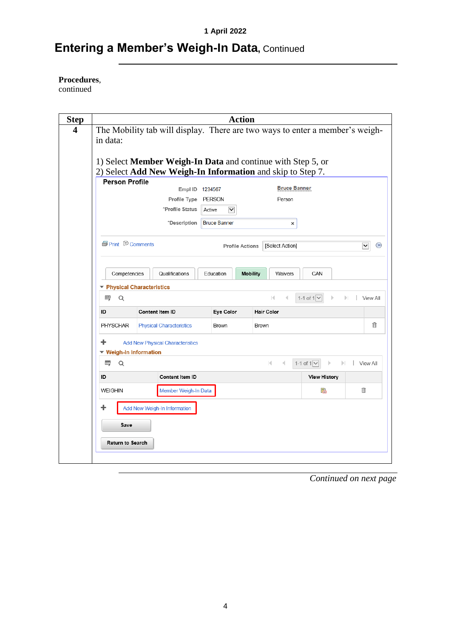## **Entering a Member's Weigh-In Data, Continued**

**Procedures**,

continued

| <b>Step</b> |                           |                                                                                                                           | <b>Action</b>                  |                                 |                       |                             |
|-------------|---------------------------|---------------------------------------------------------------------------------------------------------------------------|--------------------------------|---------------------------------|-----------------------|-----------------------------|
| 4           |                           | The Mobility tab will display. There are two ways to enter a member's weigh-                                              |                                |                                 |                       |                             |
|             | in data:                  |                                                                                                                           |                                |                                 |                       |                             |
|             |                           |                                                                                                                           |                                |                                 |                       |                             |
|             |                           | 1) Select Member Weigh-In Data and continue with Step 5, or<br>2) Select Add New Weigh-In Information and skip to Step 7. |                                |                                 |                       |                             |
|             | <b>Person Profile</b>     |                                                                                                                           |                                |                                 |                       |                             |
|             |                           | Empl ID 1234567                                                                                                           |                                | <b>Bruce Banner</b>             |                       |                             |
|             |                           | Profile Type PERSON                                                                                                       |                                | Person                          |                       |                             |
|             |                           | *Profile Status                                                                                                           | $\blacktriangledown$<br>Active |                                 |                       |                             |
|             |                           | *Description                                                                                                              | <b>Bruce Banner</b>            | ×                               |                       |                             |
|             |                           |                                                                                                                           |                                |                                 |                       |                             |
|             | <b>图 Print D</b> Comments |                                                                                                                           | <b>Profile Actions</b>         | [Select Action]                 |                       | $\circledR$<br>$\checkmark$ |
|             |                           |                                                                                                                           |                                |                                 |                       |                             |
|             | Competencies              | Qualifications                                                                                                            | Education                      | <b>Mobility</b><br>Waivers      | CAN                   |                             |
|             |                           | ▼ Physical Characteristics                                                                                                |                                |                                 |                       |                             |
|             | 霉<br>Q                    |                                                                                                                           |                                | м                               | 1-1 of $1$ $\vee$     | View All                    |
|             | ID                        | Content Item ID                                                                                                           | Eye Color                      | <b>Hair Color</b>               |                       |                             |
|             | PHYSCHAR                  | <b>Physical Characteristics</b>                                                                                           | Brown                          | Brown                           |                       | ⋔                           |
|             |                           |                                                                                                                           |                                |                                 |                       |                             |
|             | ÷                         | <b>Add New Physical Characteristics</b>                                                                                   |                                |                                 |                       |                             |
|             | ▼ Weigh-In Information    |                                                                                                                           |                                |                                 | $\mathbb{R}^n$        |                             |
|             | 霉<br>Q                    |                                                                                                                           |                                | $\mathbb{R}$<br>$\triangleleft$ | 1-1 of $1$ $\sqrt{ }$ | View All                    |
|             | ID                        | <b>Content Item ID</b>                                                                                                    |                                |                                 | <b>View History</b>   |                             |
|             | <b>WEIGHIN</b>            | Member Weigh-In Data                                                                                                      |                                |                                 | 晶                     | 俞                           |
|             |                           | <b>Add New Weigh-In Information</b>                                                                                       |                                |                                 |                       |                             |
|             | Save                      |                                                                                                                           |                                |                                 |                       |                             |
|             |                           |                                                                                                                           |                                |                                 |                       |                             |
|             | <b>Return to Search</b>   |                                                                                                                           |                                |                                 |                       |                             |
|             |                           |                                                                                                                           |                                |                                 |                       |                             |
|             |                           |                                                                                                                           |                                |                                 |                       |                             |

*Continued on next page*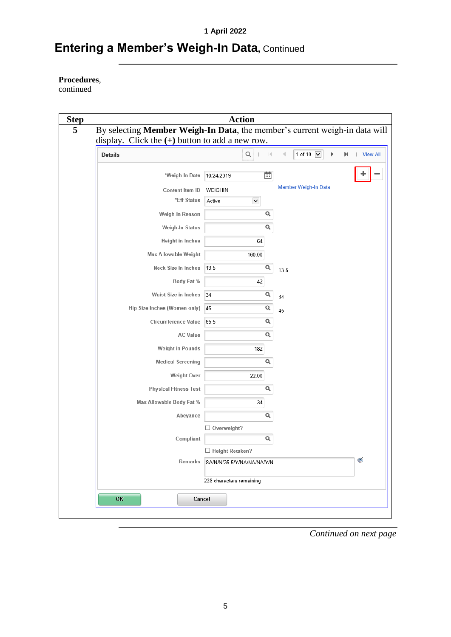## **Entering a Member's Weigh-In Data, Continued**

#### **Procedures**,

continued

|                | display. Click the $(+)$ button to add a new row. |                          |                            |                      |    |
|----------------|---------------------------------------------------|--------------------------|----------------------------|----------------------|----|
| <b>Details</b> |                                                   |                          | Q<br>$\mathbb{R}$          | 1 of 10 $\vee$       | ÞI |
|                | *Weigh-In Date                                    | 10/24/2019               | 曲                          |                      |    |
|                | Content Item ID                                   | WEIGHIN                  |                            | Member Weigh-In Data |    |
|                | *Eff Status                                       | Active                   | $\checkmark$               |                      |    |
|                | Weigh-In Reason                                   |                          | Q                          |                      |    |
|                | Weigh-In Status                                   |                          | Q                          |                      |    |
|                | Height in Inches                                  |                          | 64                         |                      |    |
|                | Max Allowable Weight                              |                          | 160.00                     |                      |    |
|                | <b>Neck Size in Inches</b>                        | 13.5                     | Q                          | 13.5                 |    |
|                | Body Fat %                                        |                          | 42                         |                      |    |
|                | Waist Size in Inches                              | 34                       | Q                          | 34                   |    |
|                | Hip Size Inches (Women only)                      | 45                       | Q                          | 45                   |    |
|                | <b>Circumference Value</b>                        | 65.5                     | Q                          |                      |    |
|                | <b>AC Value</b>                                   |                          | Q                          |                      |    |
|                | Weight in Pounds                                  |                          | 182                        |                      |    |
|                | <b>Medical Screening</b>                          |                          | Q                          |                      |    |
|                | <b>Weight Over</b>                                |                          | 22.00                      |                      |    |
|                | <b>Physical Fitness Test</b>                      |                          | Q                          |                      |    |
|                | Max Allowable Body Fat %                          |                          | 34                         |                      |    |
|                | Abeyance                                          |                          | Q                          |                      |    |
|                |                                                   | $\Box$ Overweight?       |                            |                      |    |
|                | Compliant                                         |                          | Q                          |                      |    |
|                |                                                   | $\Box$ Height Retaken?   |                            |                      |    |
|                | Remarks                                           |                          | SA/N/N/35.5/Y/NA/NA/NA/Y/N |                      |    |
|                |                                                   | 228 characters remaining |                            |                      |    |
|                |                                                   |                          |                            |                      |    |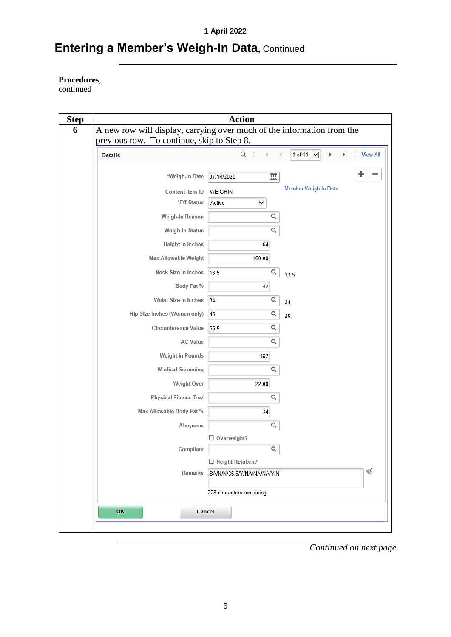## **Entering a Member's Weigh-In Data, Continued**

#### **Procedures**,

continued

| <b>Details</b>               | Q<br>$\mathbb{R}$              | 1 of 11 V<br>$\blacktriangleright$ l | <b>View All</b> |
|------------------------------|--------------------------------|--------------------------------------|-----------------|
| *Weigh-In Date               | 蘆<br>07/14/2020                |                                      |                 |
| Content Item ID              | WEIGHIN                        | Member Weigh-In Data                 |                 |
| *Eff Status                  | $\blacktriangledown$<br>Active |                                      |                 |
| Weigh-In Reason              | Q                              |                                      |                 |
| Weigh-In Status              | Q                              |                                      |                 |
| <b>Height in Inches</b>      | 64                             |                                      |                 |
| Max Allowable Weight         | 160.00                         |                                      |                 |
| <b>Neck Size in Inches</b>   | Q<br>13.5                      | 13.5                                 |                 |
| Body Fat %                   | 42                             |                                      |                 |
| <b>Waist Size in Inches</b>  | Q<br>34                        | 34                                   |                 |
| Hip Size Inches (Women only) | Q<br>45                        | 45                                   |                 |
| <b>Circumference Value</b>   | Q<br>65.5                      |                                      |                 |
| <b>AC Value</b>              | Q                              |                                      |                 |
| <b>Weight in Pounds</b>      | 182                            |                                      |                 |
| <b>Medical Screening</b>     | Q                              |                                      |                 |
| Weight Over                  | 22.00                          |                                      |                 |
| <b>Physical Fitness Test</b> | Q                              |                                      |                 |
| Max Allowable Body Fat %     | 34                             |                                      |                 |
| Abeyance                     | Q                              |                                      |                 |
|                              | $\Box$ Overweight?             |                                      |                 |
| Compliant                    | Q                              |                                      |                 |
|                              | □ Height Retaken?              |                                      |                 |
| <b>Remarks</b>               | SA/N/N/35.5/Y/NA/NA/NA/Y/N     |                                      | $\leq$          |
|                              | 228 characters remaining       |                                      |                 |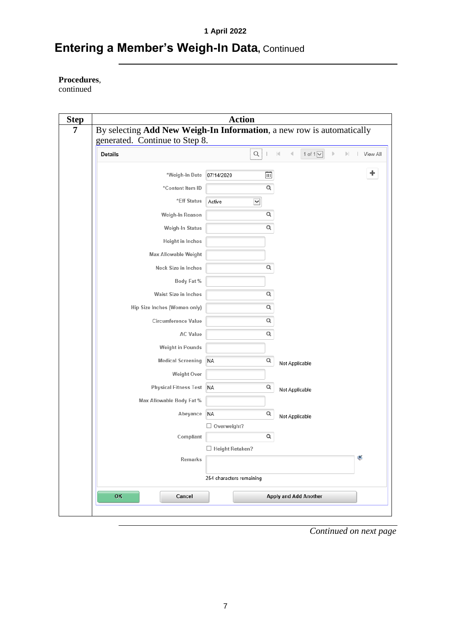## **Entering a Member's Weigh-In Data, Continued**

#### **Procedures**,

continued

| By selecting Add New Weigh-In Information, a new row is automatically<br>generated. Continue to Step 8. |                          |                       |                |                              |    |          |
|---------------------------------------------------------------------------------------------------------|--------------------------|-----------------------|----------------|------------------------------|----|----------|
| <b>Details</b>                                                                                          |                          | $\hbox{\large \it Q}$ | к              | 1 of $1$ $\vee$              | ÞI | View All |
| *Weigh-In Date                                                                                          | 07/14/2020               | 菌                     |                |                              |    | ٠        |
| *Content Item ID                                                                                        |                          | Q                     |                |                              |    |          |
| *Eff Status                                                                                             | Active                   | $\checkmark$          |                |                              |    |          |
| Weigh-In Reason                                                                                         |                          | Q                     |                |                              |    |          |
| Weigh-In Status                                                                                         |                          | Q                     |                |                              |    |          |
| Height in Inches                                                                                        |                          |                       |                |                              |    |          |
| <b>Max Allowable Weight</b>                                                                             |                          |                       |                |                              |    |          |
| Neck Size in Inches                                                                                     |                          | Q                     |                |                              |    |          |
| Body Fat %                                                                                              |                          |                       |                |                              |    |          |
| Waist Size in Inches                                                                                    |                          | Q                     |                |                              |    |          |
| Hip Size Inches (Women only)                                                                            |                          | Q                     |                |                              |    |          |
| <b>Circumference Value</b>                                                                              |                          | Q                     |                |                              |    |          |
| <b>AC Value</b>                                                                                         |                          | Q                     |                |                              |    |          |
| Weight in Pounds                                                                                        |                          |                       |                |                              |    |          |
| <b>Medical Screening</b>                                                                                | <b>NA</b>                | Q                     | Not Applicable |                              |    |          |
| <b>Weight Over</b>                                                                                      |                          |                       |                |                              |    |          |
| <b>Physical Fitness Test</b>                                                                            | <b>NA</b>                | Q                     | Not Applicable |                              |    |          |
| Max Allowable Body Fat %                                                                                |                          |                       |                |                              |    |          |
| Abeyance                                                                                                | <b>NA</b>                | Q                     | Not Applicable |                              |    |          |
|                                                                                                         | $\Box$ Overweight?       |                       |                |                              |    |          |
| Compliant                                                                                               | □ Height Retaken?        | Q                     |                |                              |    |          |
| Remarks                                                                                                 |                          |                       |                |                              |    | $\leq$   |
|                                                                                                         | 254 characters remaining |                       |                |                              |    |          |
|                                                                                                         |                          |                       |                |                              |    |          |
| OK<br>Cancel                                                                                            |                          |                       |                | <b>Apply and Add Another</b> |    |          |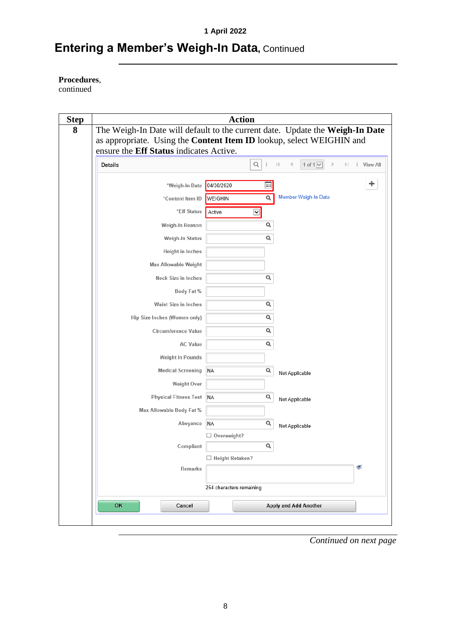## **Entering a Member's Weigh-In Data, Continued**

#### **Procedures**,

continued

| The Weigh-In Date will default to the current date. Update the Weigh-In Date | <b>Action</b>            |          |                   |                              |                |   |
|------------------------------------------------------------------------------|--------------------------|----------|-------------------|------------------------------|----------------|---|
| as appropriate. Using the Content Item ID lookup, select WEIGHIN and         |                          |          |                   |                              |                |   |
| ensure the Eff Status indicates Active.                                      |                          |          |                   |                              |                |   |
| <b>Details</b>                                                               | $\hbox{\large \it Q}$    |          | $\mathbb{R}$<br>∢ | 1 of $1$ $\vee$              | View All<br>Þ. |   |
| *Weigh-In Date                                                               | 04/30/2020               | 畐        |                   |                              |                | ٠ |
| *Content Item ID                                                             | WEIGHIN                  | $\alpha$ |                   | Member Weigh-In Data         |                |   |
| *Eff Status                                                                  | Active<br>$\checkmark$   |          |                   |                              |                |   |
| Weigh-In Reason                                                              |                          | Q        |                   |                              |                |   |
| Weigh-In Status                                                              |                          | $\alpha$ |                   |                              |                |   |
| Height in Inches                                                             |                          |          |                   |                              |                |   |
| <b>Max Allowable Weight</b>                                                  |                          |          |                   |                              |                |   |
| <b>Neck Size in Inches</b>                                                   |                          | Q        |                   |                              |                |   |
| Body Fat %                                                                   |                          |          |                   |                              |                |   |
| Waist Size in Inches                                                         |                          | Q        |                   |                              |                |   |
| Hip Size Inches (Women only)                                                 |                          | Q        |                   |                              |                |   |
| <b>Circumference Value</b>                                                   |                          | Q        |                   |                              |                |   |
| <b>AC Value</b>                                                              |                          | Q        |                   |                              |                |   |
| Weight in Pounds                                                             |                          |          |                   |                              |                |   |
| <b>Medical Screening</b>                                                     | <b>NA</b>                | Q        | Not Applicable    |                              |                |   |
| <b>Weight Over</b>                                                           |                          |          |                   |                              |                |   |
| <b>Physical Fitness Test</b>                                                 | NA                       | Q        | Not Applicable    |                              |                |   |
| Max Allowable Body Fat %                                                     |                          |          |                   |                              |                |   |
| Abeyance                                                                     | <b>NA</b>                | Q        | Not Applicable    |                              |                |   |
|                                                                              | $\Box$ Overweight?       |          |                   |                              |                |   |
| Compliant                                                                    |                          | Q        |                   |                              |                |   |
| Remarks                                                                      | $\Box$ Height Retaken?   |          |                   |                              | G              |   |
|                                                                              |                          |          |                   |                              |                |   |
|                                                                              | 254 characters remaining |          |                   |                              |                |   |
| OK<br>Cancel                                                                 |                          |          |                   | <b>Apply and Add Another</b> |                |   |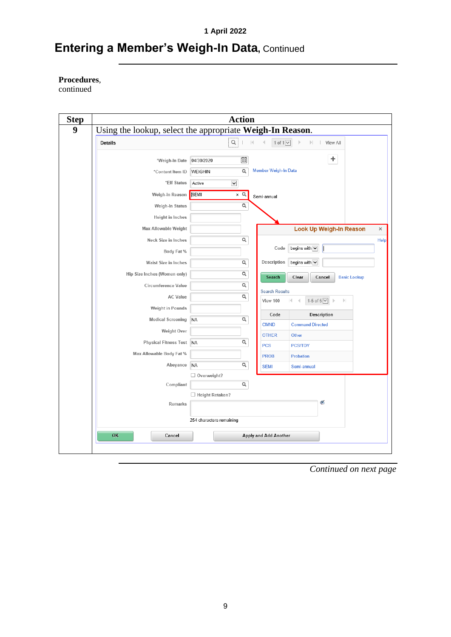## **Entering a Member's Weigh-In Data, Continued**

**Procedures**,

continued

| Using the lookup, select the appropriate Weigh-In Reason. |                                    |              |                       |                                                             |  |
|-----------------------------------------------------------|------------------------------------|--------------|-----------------------|-------------------------------------------------------------|--|
| Details                                                   | Q                                  | $ \cdot $    | 1 of $1$ $\vee$       | View All<br>Þ.                                              |  |
| *Weigh-In Date                                            | 04/30/2020                         | 宙            |                       | ٠                                                           |  |
| *Content Item ID                                          | WEIGHIN                            | Q            | Member Weigh-In Data  |                                                             |  |
| *Eff Status                                               | $\overline{\phantom{0}}$<br>Active |              |                       |                                                             |  |
| Weigh-In Reason                                           | SEMI                               | $\times$ Q   | Semi-annual           |                                                             |  |
| Weigh-In Status                                           |                                    | Q            |                       |                                                             |  |
| Height in Inches                                          |                                    |              |                       |                                                             |  |
| Max Allowable Weight                                      |                                    |              |                       | <b>Look Up Weigh-In Reason</b>                              |  |
| Neck Size in Inches                                       |                                    | $\alpha$     |                       |                                                             |  |
| Body Fat %                                                |                                    |              | Code                  | begins with $\overline{\smile}$                             |  |
| Waist Size in Inches                                      |                                    | $\alpha$     | Description           | begins with $\blacktriangleright$                           |  |
| Hip Size Inches (Women only)                              |                                    | $\alpha$     | Search                | Clear<br>Cancel<br><b>Basic Lookup</b>                      |  |
| Circumference Value                                       |                                    | $\mathsf{Q}$ | <b>Search Results</b> |                                                             |  |
| <b>AC Value</b>                                           |                                    | $\alpha$     | View 100              | 1-5 of 5 $\vee$<br>$\mathbb{H}$<br>$\overline{\phantom{a}}$ |  |
| Weight in Pounds                                          |                                    |              | Code                  | Description                                                 |  |
| <b>Medical Screening</b>                                  | <b>NA</b>                          | $\alpha$     | <b>CMND</b>           | <b>Command Directed</b>                                     |  |
| <b>Weight Over</b>                                        |                                    |              | <b>OTHER</b>          | Other                                                       |  |
| Physical Fitness Test NA                                  |                                    | Q            | <b>PCS</b>            | <b>PCS/TDY</b>                                              |  |
| Max Allowable Body Fat %                                  |                                    |              | <b>PROB</b>           | <b>Probation</b>                                            |  |
| Abeyance                                                  | <b>NA</b>                          | Q            | <b>SEMI</b>           | Semi-annual                                                 |  |
| Compliant                                                 | Overweight?                        | Q            |                       |                                                             |  |
|                                                           | □ Height Retaken?                  |              |                       |                                                             |  |
| Remarks                                                   |                                    |              |                       | C                                                           |  |
|                                                           |                                    |              |                       |                                                             |  |
|                                                           | 254 characters remaining           |              |                       |                                                             |  |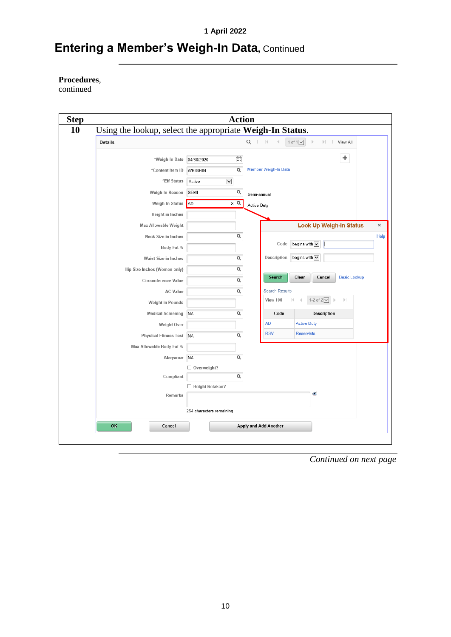## **Entering a Member's Weigh-In Data, Continued**

**Procedures**,

continued

| Details                      |                                    | $Q \mid \mathbb{N}$<br>1 of $1$ $\sqrt{ }$<br>View All<br>$\mathbb{N}$ $\mathbb{N}$ |
|------------------------------|------------------------------------|-------------------------------------------------------------------------------------|
| *Weigh-In Date               | 宙<br>04/30/2020                    | ÷                                                                                   |
| *Content Item ID             | Q<br>WEIGHIN                       | <b>Member Weigh-In Data</b>                                                         |
| *Eff Status                  | $\overline{\phantom{0}}$<br>Active |                                                                                     |
| Weigh-In Reason              | Q<br><b>SEMI</b>                   | Semi-annual                                                                         |
| Weigh-In Status              | <b>AD</b><br>$\times$ Q            | Active Duty                                                                         |
| Height in Inches             |                                    |                                                                                     |
| <b>Max Allowable Weight</b>  |                                    | <b>Look Up Weigh-In Status</b>                                                      |
| Neck Size in Inches          | $\alpha$                           |                                                                                     |
| Body Fat %                   |                                    | Code<br>begins with $\vert \bm{\vee} \vert$                                         |
| Waist Size in Inches         | Q                                  | begins with $\overline{\smile}$<br>Description                                      |
| Hip Size Inches (Women only) | $\alpha$                           |                                                                                     |
| Circumference Value          | Q                                  | Search<br>Clear<br><b>Basic Lookup</b><br>Cancel                                    |
| <b>AC Value</b>              | Q                                  | <b>Search Results</b>                                                               |
| Weight in Pounds             |                                    | 1-2 of $2$ $\vee$<br>View 100<br>$\left\vert \cdot \right\rangle$                   |
| <b>Medical Screening</b>     | Q<br><b>NA</b>                     | Description<br>Code                                                                 |
| Weight Over                  |                                    | <b>AD</b><br><b>Active Duty</b>                                                     |
| <b>Physical Fitness Test</b> | $\alpha$<br><b>NA</b>              | <b>RSV</b><br><b>Reservists</b>                                                     |
| Max Allowable Body Fat %     |                                    |                                                                                     |
| Abeyance                     | $\alpha$<br><b>NA</b>              |                                                                                     |
|                              | Overweight?                        |                                                                                     |
| Compliant                    | Q                                  |                                                                                     |
| <b>Remarks</b>               | Height Retaken?                    | ℭ                                                                                   |
|                              |                                    |                                                                                     |
|                              | 254 characters remaining           |                                                                                     |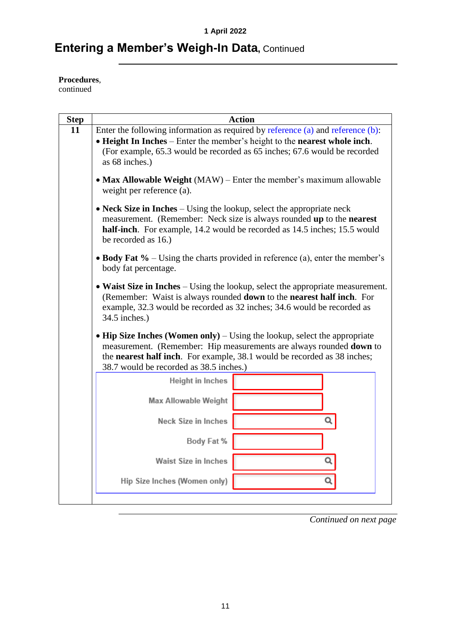## **Entering a Member's Weigh-In Data, Continued**

**Procedures**,

continued

| <b>Step</b> |                                                                                                                                                                                                                                                      | <b>Action</b> |   |  |  |  |  |
|-------------|------------------------------------------------------------------------------------------------------------------------------------------------------------------------------------------------------------------------------------------------------|---------------|---|--|--|--|--|
| 11          | Enter the following information as required by reference (a) and reference (b):                                                                                                                                                                      |               |   |  |  |  |  |
|             | • Height In Inches – Enter the member's height to the nearest whole inch.                                                                                                                                                                            |               |   |  |  |  |  |
|             | (For example, 65.3 would be recorded as 65 inches; 67.6 would be recorded<br>as 68 inches.)                                                                                                                                                          |               |   |  |  |  |  |
|             | • Max Allowable Weight (MAW) – Enter the member's maximum allowable<br>weight per reference (a).                                                                                                                                                     |               |   |  |  |  |  |
|             | • Neck Size in Inches $-$ Using the lookup, select the appropriate neck<br>measurement. (Remember: Neck size is always rounded up to the nearest<br>half-inch. For example, 14.2 would be recorded as 14.5 inches; 15.5 would<br>be recorded as 16.) |               |   |  |  |  |  |
|             | • Body Fat $\%$ – Using the charts provided in reference (a), enter the member's<br>body fat percentage.                                                                                                                                             |               |   |  |  |  |  |
|             | • Waist Size in Inches – Using the lookup, select the appropriate measurement.<br>(Remember: Waist is always rounded down to the nearest half inch. For<br>example, 32.3 would be recorded as 32 inches; 34.6 would be recorded as<br>34.5 inches.)  |               |   |  |  |  |  |
|             | • Hip Size Inches (Women only) – Using the lookup, select the appropriate<br>measurement. (Remember: Hip measurements are always rounded down to                                                                                                     |               |   |  |  |  |  |
|             | the <b>nearest half inch</b> . For example, 38.1 would be recorded as 38 inches;<br>38.7 would be recorded as 38.5 inches.)                                                                                                                          |               |   |  |  |  |  |
|             |                                                                                                                                                                                                                                                      |               |   |  |  |  |  |
|             | Height in Inches                                                                                                                                                                                                                                     |               |   |  |  |  |  |
|             | <b>Max Allowable Weight</b>                                                                                                                                                                                                                          |               |   |  |  |  |  |
|             | Neck Size in Inches                                                                                                                                                                                                                                  |               |   |  |  |  |  |
|             | Body Fat %                                                                                                                                                                                                                                           |               |   |  |  |  |  |
|             | <b>Waist Size in Inches</b>                                                                                                                                                                                                                          |               | Q |  |  |  |  |
|             | Hip Size Inches (Women only)                                                                                                                                                                                                                         |               | Q |  |  |  |  |
|             |                                                                                                                                                                                                                                                      |               |   |  |  |  |  |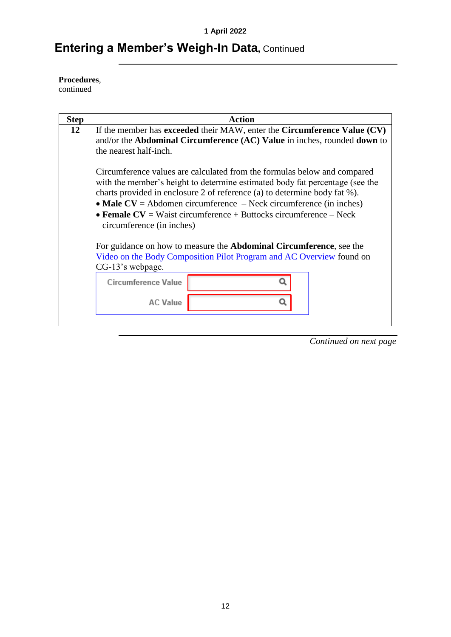## **Entering a Member's Weigh-In Data, Continued**

**Procedures**,

continued

| <b>Step</b> | <b>Action</b>                                                                                                                                                                                                                                                                                                                                                                                                    |  |  |  |  |  |  |
|-------------|------------------------------------------------------------------------------------------------------------------------------------------------------------------------------------------------------------------------------------------------------------------------------------------------------------------------------------------------------------------------------------------------------------------|--|--|--|--|--|--|
| 12          | If the member has <b>exceeded</b> their MAW, enter the <b>Circumference Value</b> (CV)<br>and/or the <b>Abdominal Circumference</b> (AC) Value in inches, rounded <b>down</b> to<br>the nearest half-inch.                                                                                                                                                                                                       |  |  |  |  |  |  |
|             | Circumference values are calculated from the formulas below and compared<br>with the member's height to determine estimated body fat percentage (see the<br>charts provided in enclosure 2 of reference (a) to determine body fat %).<br>• Male $CV =$ Abdomen circumference – Neck circumference (in inches)<br>• Female $CV = Wait$ circumference + Buttocks circumference – Neck<br>circumference (in inches) |  |  |  |  |  |  |
|             | For guidance on how to measure the <b>Abdominal Circumference</b> , see the<br>Video on the Body Composition Pilot Program and AC Overview found on<br>CG-13's webpage.<br><b>Circumference Value</b><br><b>AC Value</b>                                                                                                                                                                                         |  |  |  |  |  |  |
|             |                                                                                                                                                                                                                                                                                                                                                                                                                  |  |  |  |  |  |  |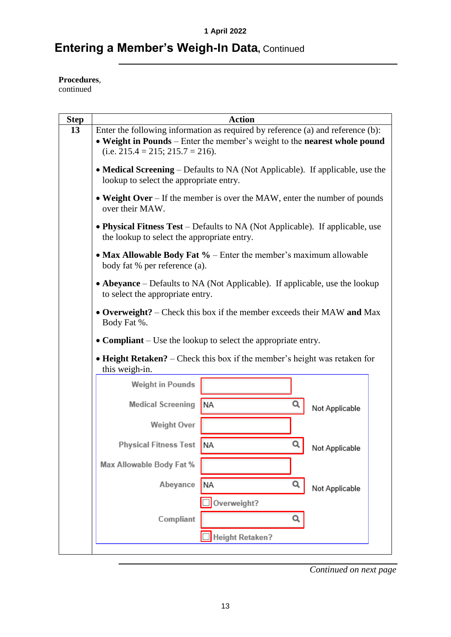## **Entering a Member's Weigh-In Data, Continued**

**Procedures**,

continued

| <b>Step</b> | <b>Action</b>                                                                                                                                                                                          |  |  |  |  |  |  |  |  |  |
|-------------|--------------------------------------------------------------------------------------------------------------------------------------------------------------------------------------------------------|--|--|--|--|--|--|--|--|--|
| 13          | Enter the following information as required by reference (a) and reference (b):<br>• Weight in Pounds – Enter the member's weight to the nearest whole pound<br>(i.e. $215.4 = 215$ ; $215.7 = 216$ ). |  |  |  |  |  |  |  |  |  |
|             | • Medical Screening – Defaults to NA (Not Applicable). If applicable, use the<br>lookup to select the appropriate entry.                                                                               |  |  |  |  |  |  |  |  |  |
|             | • Weight Over – If the member is over the MAW, enter the number of pounds<br>over their MAW.                                                                                                           |  |  |  |  |  |  |  |  |  |
|             | • Physical Fitness Test - Defaults to NA (Not Applicable). If applicable, use<br>the lookup to select the appropriate entry.                                                                           |  |  |  |  |  |  |  |  |  |
|             | • Max Allowable Body Fat $%$ – Enter the member's maximum allowable<br>body fat % per reference (a).                                                                                                   |  |  |  |  |  |  |  |  |  |
|             | • Abeyance – Defaults to NA (Not Applicable). If applicable, use the lookup<br>to select the appropriate entry.                                                                                        |  |  |  |  |  |  |  |  |  |
|             | • Overweight? – Check this box if the member exceeds their MAW and Max<br>Body Fat %.                                                                                                                  |  |  |  |  |  |  |  |  |  |
|             | • Compliant – Use the lookup to select the appropriate entry.                                                                                                                                          |  |  |  |  |  |  |  |  |  |
|             | • Height Retaken? – Check this box if the member's height was retaken for<br>this weigh-in.                                                                                                            |  |  |  |  |  |  |  |  |  |
|             | Weight in Pounds                                                                                                                                                                                       |  |  |  |  |  |  |  |  |  |
|             | <b>Medical Screening</b><br><b>NA</b><br>Not Applicable                                                                                                                                                |  |  |  |  |  |  |  |  |  |
|             | <b>Weight Over</b>                                                                                                                                                                                     |  |  |  |  |  |  |  |  |  |
|             | Q<br><b>Physical Fitness Test</b><br><b>NA</b><br>Not Applicable                                                                                                                                       |  |  |  |  |  |  |  |  |  |
|             | Max Allowable Body Fat %                                                                                                                                                                               |  |  |  |  |  |  |  |  |  |
|             | Q<br><b>NA</b><br>Abeyance<br>Not Applicable                                                                                                                                                           |  |  |  |  |  |  |  |  |  |
|             | Overweight?<br>Compliant<br>Q                                                                                                                                                                          |  |  |  |  |  |  |  |  |  |
|             | <b>Height Retaken?</b>                                                                                                                                                                                 |  |  |  |  |  |  |  |  |  |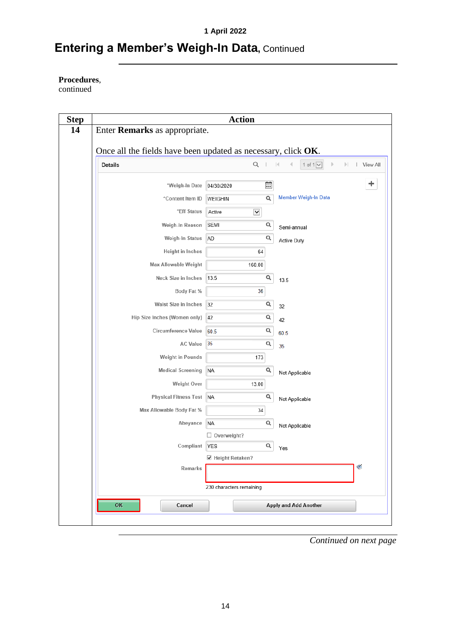## **Entering a Member's Weigh-In Data, Continued**

**Procedures**,

continued

|                                                               | <b>Action</b>                   |   |                                                               |
|---------------------------------------------------------------|---------------------------------|---|---------------------------------------------------------------|
| Enter Remarks as appropriate.                                 |                                 |   |                                                               |
| Once all the fields have been updated as necessary, click OK. |                                 |   |                                                               |
| <b>Details</b>                                                | Q                               |   | 1 of $1$ $\vee$<br>Þ<br>$\mathbb{R}$<br>  View All<br>1<br>Þ. |
|                                                               |                                 |   |                                                               |
| *Weigh-In Date                                                | 04/30/2020                      | 雷 | ٠                                                             |
| *Content Item ID                                              | WEIGHIN                         | Q | Member Weigh-In Data                                          |
| *Eff Status                                                   | $\checkmark$<br>Active          |   |                                                               |
| Weigh-In Reason                                               | SEMI                            | Q | Semi-annual                                                   |
| Weigh-In Status                                               | AD                              | Q | Active Duty                                                   |
| Height in Inches                                              | 64                              |   |                                                               |
| <b>Max Allowable Weight</b>                                   | 160.00                          |   |                                                               |
| Neck Size in Inches                                           | 13.5                            | Q | 13.5                                                          |
| Body Fat %                                                    | 36                              |   |                                                               |
| Waist Size in Inches                                          | 32                              | Q |                                                               |
| Hip Size Inches (Women only)                                  | 42                              | Q | 32                                                            |
| <b>Circumference Value</b>                                    | 60.5                            | Q | 42                                                            |
| <b>AC Value</b>                                               | 35                              | Q | 60.5                                                          |
| <b>Weight in Pounds</b>                                       |                                 |   | 35                                                            |
|                                                               | 173                             | Q |                                                               |
| <b>Medical Screening</b>                                      | <b>NA</b>                       |   | Not Applicable                                                |
| <b>Weight Over</b>                                            | 13.00                           |   |                                                               |
| <b>Physical Fitness Test</b>                                  | <b>NA</b>                       | Q | Not Applicable                                                |
| Max Allowable Body Fat %                                      | 34                              |   |                                                               |
| Abeyance                                                      | <b>NA</b>                       | Q | Not Applicable                                                |
| Compliant                                                     | Overweight?                     | Q |                                                               |
|                                                               | <b>YES</b><br>☑ Height Retaken? |   | Yes                                                           |
| Remarks                                                       |                                 |   | S                                                             |
|                                                               |                                 |   |                                                               |
|                                                               | 230 characters remaining        |   |                                                               |
| OK<br>Cancel                                                  |                                 |   | <b>Apply and Add Another</b>                                  |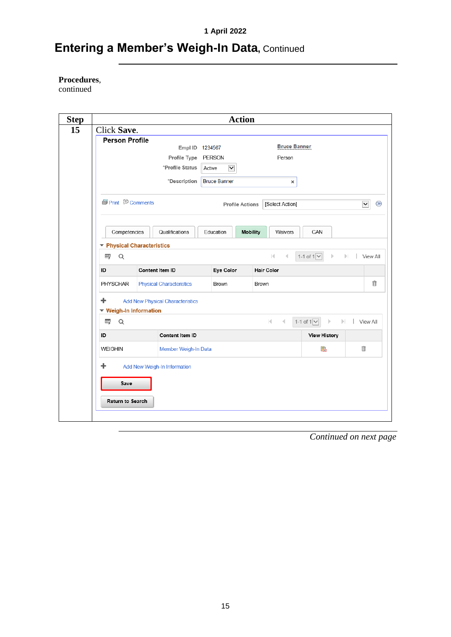## **Entering a Member's Weigh-In Data, Continued**

#### **Procedures**,

continued

| <b>Step</b> |                                                                   |  |                                 |        | <b>Action</b>          |                   |                             |                                             |                             |
|-------------|-------------------------------------------------------------------|--|---------------------------------|--------|------------------------|-------------------|-----------------------------|---------------------------------------------|-----------------------------|
|             | Click Save.                                                       |  |                                 |        |                        |                   |                             |                                             |                             |
|             | <b>Person Profile</b>                                             |  | Empl ID 1234567                 |        |                        |                   | <b>Bruce Banner</b>         |                                             |                             |
|             |                                                                   |  | Profile Type PERSON             |        |                        |                   | Person                      |                                             |                             |
|             |                                                                   |  | *Profile Status                 | Active | $\blacktriangledown$   |                   |                             |                                             |                             |
|             |                                                                   |  | *Description                    |        | <b>Bruce Banner</b>    |                   | ×                           |                                             |                             |
|             | <b><i>S</i></b> Print <b>D</b> Comments                           |  |                                 |        | <b>Profile Actions</b> |                   | [Select Action]             |                                             | $\checkmark$<br>$\circledR$ |
|             | Competencies                                                      |  | Qualifications                  |        | Education              | Mobility          | Waivers                     | CAN                                         |                             |
|             | ▼ Physical Characteristics                                        |  |                                 |        |                        |                   |                             |                                             |                             |
|             | Q<br>霉                                                            |  |                                 |        |                        |                   | $ \cdot $<br>$\overline{a}$ | 1-1 of $1$ $\vee$<br>Þ<br>$\mathbb{H}$      | View All                    |
| ID          |                                                                   |  | Content Item ID                 |        | Eye Color              | <b>Hair Color</b> |                             |                                             |                             |
|             | <b>PHYSCHAR</b>                                                   |  | <b>Physical Characteristics</b> |        | Brown                  | Brown             |                             |                                             | 俞                           |
| ٠           | <b>Add New Physical Characteristics</b><br>▼ Weigh-In Information |  |                                 |        |                        |                   |                             |                                             |                             |
|             | 蜜<br>Q                                                            |  |                                 |        |                        |                   | K.<br>$\triangleleft$       | 1-1 of $1$ $\sqrt{ }$<br>Þ<br>$\  \cdot \ $ | View All                    |
| ID          |                                                                   |  | Content Item ID                 |        |                        |                   |                             | <b>View History</b>                         |                             |
|             | <b>WEIGHIN</b>                                                    |  | Member Weigh-In Data            |        |                        |                   |                             | 鷵                                           | 俞                           |
| ÷           |                                                                   |  | Add New Weigh-In Information    |        |                        |                   |                             |                                             |                             |
|             |                                                                   |  |                                 |        |                        |                   |                             |                                             |                             |
|             | Save                                                              |  |                                 |        |                        |                   |                             |                                             |                             |
|             |                                                                   |  |                                 |        |                        |                   |                             |                                             |                             |
|             | <b>Return to Search</b>                                           |  |                                 |        |                        |                   |                             |                                             |                             |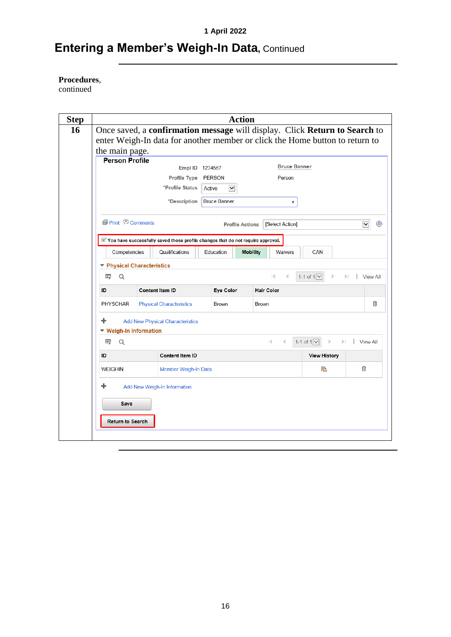# **Entering a Member's Weigh-In Data, Continued**

#### **Procedures**,

continued

|  |                                                                                       |                 |                                                                                             |        |              | <b>Action</b>          |       |                     |                                                                              |                 |                 |
|--|---------------------------------------------------------------------------------------|-----------------|---------------------------------------------------------------------------------------------|--------|--------------|------------------------|-------|---------------------|------------------------------------------------------------------------------|-----------------|-----------------|
|  |                                                                                       |                 |                                                                                             |        |              |                        |       |                     | Once saved, a confirmation message will display. Click Return to Search to   |                 |                 |
|  |                                                                                       |                 |                                                                                             |        |              |                        |       |                     | enter Weigh-In data for another member or click the Home button to return to |                 |                 |
|  | the main page.<br><b>Person Profile</b>                                               |                 |                                                                                             |        |              |                        |       |                     |                                                                              |                 |                 |
|  |                                                                                       |                 | Empl ID 1234567                                                                             |        |              |                        |       | <b>Bruce Banner</b> |                                                                              |                 |                 |
|  |                                                                                       |                 | Profile Type                                                                                | PERSON |              |                        |       | Person              |                                                                              |                 |                 |
|  |                                                                                       |                 | *Profile Status                                                                             | Active | $\checkmark$ |                        |       |                     |                                                                              |                 |                 |
|  |                                                                                       |                 | *Description Bruce Banner                                                                   |        |              |                        |       | ×                   |                                                                              |                 |                 |
|  | <b><i></i></b> Print © Comments                                                       |                 |                                                                                             |        |              | <b>Profile Actions</b> |       | [Select Action]     |                                                                              | $\vert$ $\vert$ | $\circledR$     |
|  |                                                                                       |                 | $\mathbb Z$ You have successfully saved those profile changes that do not require approval. |        |              |                        |       |                     |                                                                              |                 |                 |
|  | Competencies                                                                          |                 | Qualifications                                                                              |        | Education    | <b>Mobility</b>        |       | Waivers             | CAN                                                                          |                 |                 |
|  | ▼ Physical Characteristics                                                            |                 |                                                                                             |        |              |                        |       |                     |                                                                              |                 |                 |
|  | Q<br>莺                                                                                |                 |                                                                                             |        |              |                        |       | к                   | 1-1 of $1$ $\vee$                                                            |                 | <b>View All</b> |
|  | ID                                                                                    | Content Item ID |                                                                                             |        | Eye Color    |                        |       | <b>Hair Color</b>   |                                                                              |                 |                 |
|  | <b>PHYSCHAR</b>                                                                       |                 | <b>Physical Characteristics</b>                                                             |        | Brown        |                        | Brown |                     |                                                                              |                 | ⋔               |
|  | <b>Add New Physical Characteristics</b><br>$\blacktriangleright$ Weigh-In Information |                 |                                                                                             |        |              |                        |       |                     |                                                                              |                 |                 |
|  | Q<br>霉                                                                                |                 |                                                                                             |        |              |                        |       | $\mathbb{R}$<br>4   | 1-1 of $1$ $\vee$<br>Þ                                                       | View All<br>ы   |                 |
|  | ID                                                                                    |                 | <b>Content Item ID</b>                                                                      |        |              |                        |       |                     | <b>View History</b>                                                          |                 |                 |
|  | <b>WEIGHIN</b>                                                                        |                 | Member Weigh-In Data                                                                        |        |              |                        |       |                     | 晶                                                                            | 俞               |                 |
|  | Add New Weigh-In Information                                                          |                 |                                                                                             |        |              |                        |       |                     |                                                                              |                 |                 |
|  | Save                                                                                  |                 |                                                                                             |        |              |                        |       |                     |                                                                              |                 |                 |
|  | <b>Return to Search</b>                                                               |                 |                                                                                             |        |              |                        |       |                     |                                                                              |                 |                 |
|  |                                                                                       |                 |                                                                                             |        |              |                        |       |                     |                                                                              |                 |                 |